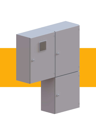